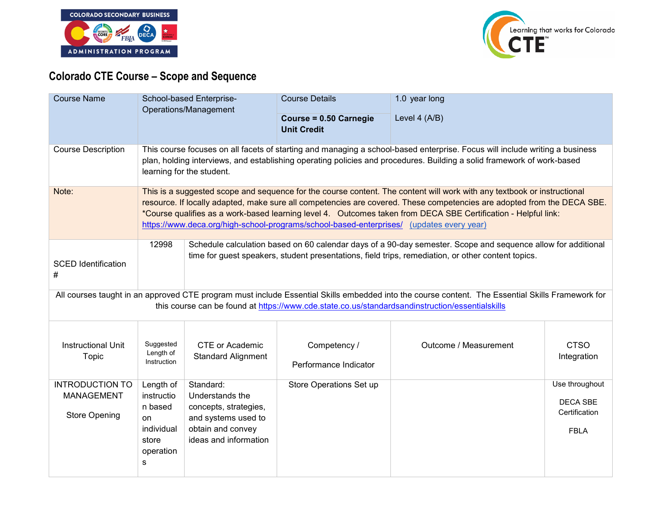



## **Colorado CTE Course – Scope and Sequence**

| <b>Course Name</b>                                                  | School-based Enterprise-<br>Operations/Management                                 |                                                                                                                                                                                                                                                                                                                                                                                                                                                                  | <b>Course Details</b><br>Course = 0.50 Carnegie<br><b>Unit Credit</b> | 1.0 year long<br>Level 4 (A/B)                                                                                                                                                                                                                      |                                                                   |  |
|---------------------------------------------------------------------|-----------------------------------------------------------------------------------|------------------------------------------------------------------------------------------------------------------------------------------------------------------------------------------------------------------------------------------------------------------------------------------------------------------------------------------------------------------------------------------------------------------------------------------------------------------|-----------------------------------------------------------------------|-----------------------------------------------------------------------------------------------------------------------------------------------------------------------------------------------------------------------------------------------------|-------------------------------------------------------------------|--|
| <b>Course Description</b>                                           |                                                                                   | This course focuses on all facets of starting and managing a school-based enterprise. Focus will include writing a business<br>plan, holding interviews, and establishing operating policies and procedures. Building a solid framework of work-based<br>learning for the student.                                                                                                                                                                               |                                                                       |                                                                                                                                                                                                                                                     |                                                                   |  |
| Note:                                                               |                                                                                   | This is a suggested scope and sequence for the course content. The content will work with any textbook or instructional<br>resource. If locally adapted, make sure all competencies are covered. These competencies are adopted from the DECA SBE.<br>*Course qualifies as a work-based learning level 4. Outcomes taken from DECA SBE Certification - Helpful link:<br>https://www.deca.org/high-school-programs/school-based-enterprises/ (updates every year) |                                                                       |                                                                                                                                                                                                                                                     |                                                                   |  |
| <b>SCED Identification</b><br>#                                     | 12998                                                                             | Schedule calculation based on 60 calendar days of a 90-day semester. Scope and sequence allow for additional<br>time for guest speakers, student presentations, field trips, remediation, or other content topics.                                                                                                                                                                                                                                               |                                                                       |                                                                                                                                                                                                                                                     |                                                                   |  |
|                                                                     |                                                                                   |                                                                                                                                                                                                                                                                                                                                                                                                                                                                  |                                                                       | All courses taught in an approved CTE program must include Essential Skills embedded into the course content. The Essential Skills Framework for<br>this course can be found at https://www.cde.state.co.us/standardsandinstruction/essentialskills |                                                                   |  |
| <b>Instructional Unit</b><br>Topic                                  | Suggested<br>Length of<br>Instruction                                             | CTE or Academic<br><b>Standard Alignment</b>                                                                                                                                                                                                                                                                                                                                                                                                                     | Competency /<br>Performance Indicator                                 | Outcome / Measurement                                                                                                                                                                                                                               | <b>CTSO</b><br>Integration                                        |  |
| <b>INTRODUCTION TO</b><br><b>MANAGEMENT</b><br><b>Store Opening</b> | Length of<br>instructio<br>n based<br>on<br>individual<br>store<br>operation<br>s | Standard:<br>Understands the<br>concepts, strategies,<br>and systems used to<br>obtain and convey<br>ideas and information                                                                                                                                                                                                                                                                                                                                       | Store Operations Set up                                               |                                                                                                                                                                                                                                                     | Use throughout<br><b>DECA SBE</b><br>Certification<br><b>FBLA</b> |  |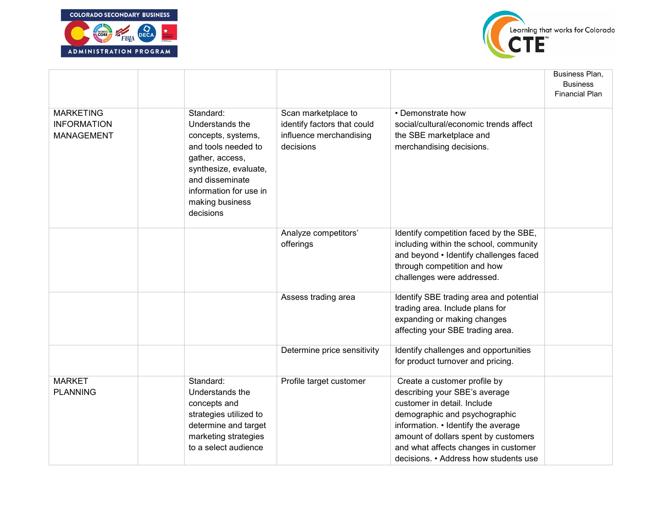



|                                                             |                                                                                                                                                                                                    |                                                                                            |                                                                                                                                                                                                                                                                                               | Business Plan,<br><b>Business</b><br><b>Financial Plan</b> |
|-------------------------------------------------------------|----------------------------------------------------------------------------------------------------------------------------------------------------------------------------------------------------|--------------------------------------------------------------------------------------------|-----------------------------------------------------------------------------------------------------------------------------------------------------------------------------------------------------------------------------------------------------------------------------------------------|------------------------------------------------------------|
| <b>MARKETING</b><br><b>INFORMATION</b><br><b>MANAGEMENT</b> | Standard:<br>Understands the<br>concepts, systems,<br>and tools needed to<br>gather, access,<br>synthesize, evaluate,<br>and disseminate<br>information for use in<br>making business<br>decisions | Scan marketplace to<br>identify factors that could<br>influence merchandising<br>decisions | • Demonstrate how<br>social/cultural/economic trends affect<br>the SBE marketplace and<br>merchandising decisions.                                                                                                                                                                            |                                                            |
|                                                             |                                                                                                                                                                                                    | Analyze competitors'<br>offerings                                                          | Identify competition faced by the SBE,<br>including within the school, community<br>and beyond • Identify challenges faced<br>through competition and how<br>challenges were addressed.                                                                                                       |                                                            |
|                                                             |                                                                                                                                                                                                    | Assess trading area                                                                        | Identify SBE trading area and potential<br>trading area. Include plans for<br>expanding or making changes<br>affecting your SBE trading area.                                                                                                                                                 |                                                            |
|                                                             |                                                                                                                                                                                                    | Determine price sensitivity                                                                | Identify challenges and opportunities<br>for product turnover and pricing.                                                                                                                                                                                                                    |                                                            |
| <b>MARKET</b><br><b>PLANNING</b>                            | Standard:<br>Understands the<br>concepts and<br>strategies utilized to<br>determine and target<br>marketing strategies<br>to a select audience                                                     | Profile target customer                                                                    | Create a customer profile by<br>describing your SBE's average<br>customer in detail. Include<br>demographic and psychographic<br>information. • Identify the average<br>amount of dollars spent by customers<br>and what affects changes in customer<br>decisions. • Address how students use |                                                            |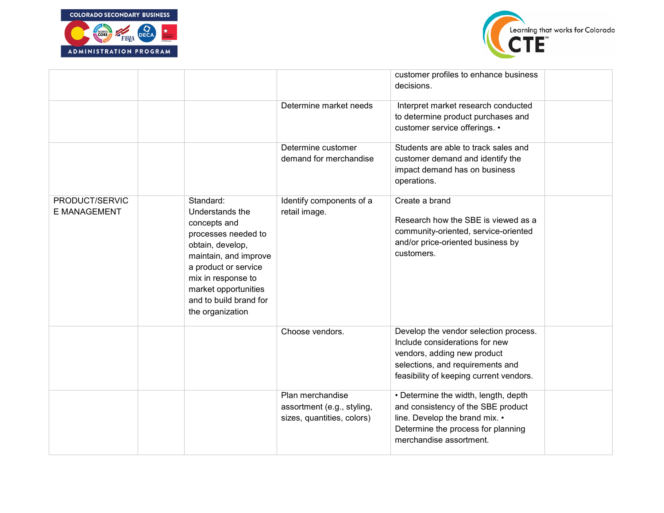



|                                |                                                                                                                                                                                                                                      |                                                                              | customer profiles to enhance business<br>decisions.                                                                                                                                   |  |
|--------------------------------|--------------------------------------------------------------------------------------------------------------------------------------------------------------------------------------------------------------------------------------|------------------------------------------------------------------------------|---------------------------------------------------------------------------------------------------------------------------------------------------------------------------------------|--|
|                                |                                                                                                                                                                                                                                      | Determine market needs                                                       | Interpret market research conducted<br>to determine product purchases and<br>customer service offerings. •                                                                            |  |
|                                |                                                                                                                                                                                                                                      | Determine customer<br>demand for merchandise                                 | Students are able to track sales and<br>customer demand and identify the<br>impact demand has on business<br>operations.                                                              |  |
| PRODUCT/SERVIC<br>E MANAGEMENT | Standard:<br>Understands the<br>concepts and<br>processes needed to<br>obtain, develop,<br>maintain, and improve<br>a product or service<br>mix in response to<br>market opportunities<br>and to build brand for<br>the organization | Identify components of a<br>retail image.                                    | Create a brand<br>Research how the SBE is viewed as a<br>community-oriented, service-oriented<br>and/or price-oriented business by<br>customers.                                      |  |
|                                |                                                                                                                                                                                                                                      | Choose vendors.                                                              | Develop the vendor selection process.<br>Include considerations for new<br>vendors, adding new product<br>selections, and requirements and<br>feasibility of keeping current vendors. |  |
|                                |                                                                                                                                                                                                                                      | Plan merchandise<br>assortment (e.g., styling,<br>sizes, quantities, colors) | • Determine the width, length, depth<br>and consistency of the SBE product<br>line. Develop the brand mix. •<br>Determine the process for planning<br>merchandise assortment.         |  |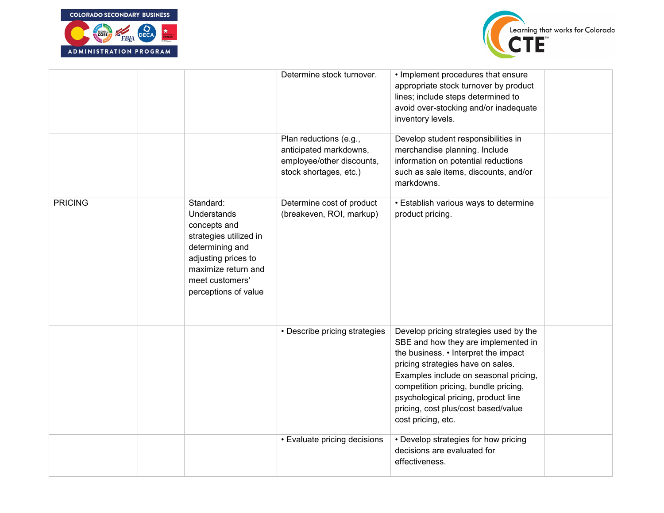



|                |                                                                                                                                                                                | Determine stock turnover.                                                                               | • Implement procedures that ensure<br>appropriate stock turnover by product<br>lines; include steps determined to<br>avoid over-stocking and/or inadequate<br>inventory levels.                                                                                                                                                                 |  |
|----------------|--------------------------------------------------------------------------------------------------------------------------------------------------------------------------------|---------------------------------------------------------------------------------------------------------|-------------------------------------------------------------------------------------------------------------------------------------------------------------------------------------------------------------------------------------------------------------------------------------------------------------------------------------------------|--|
|                |                                                                                                                                                                                | Plan reductions (e.g.,<br>anticipated markdowns,<br>employee/other discounts,<br>stock shortages, etc.) | Develop student responsibilities in<br>merchandise planning. Include<br>information on potential reductions<br>such as sale items, discounts, and/or<br>markdowns.                                                                                                                                                                              |  |
| <b>PRICING</b> | Standard:<br>Understands<br>concepts and<br>strategies utilized in<br>determining and<br>adjusting prices to<br>maximize return and<br>meet customers'<br>perceptions of value | Determine cost of product<br>(breakeven, ROI, markup)                                                   | • Establish various ways to determine<br>product pricing.                                                                                                                                                                                                                                                                                       |  |
|                |                                                                                                                                                                                | • Describe pricing strategies                                                                           | Develop pricing strategies used by the<br>SBE and how they are implemented in<br>the business. • Interpret the impact<br>pricing strategies have on sales.<br>Examples include on seasonal pricing,<br>competition pricing, bundle pricing,<br>psychological pricing, product line<br>pricing, cost plus/cost based/value<br>cost pricing, etc. |  |
|                |                                                                                                                                                                                | • Evaluate pricing decisions                                                                            | • Develop strategies for how pricing<br>decisions are evaluated for<br>effectiveness.                                                                                                                                                                                                                                                           |  |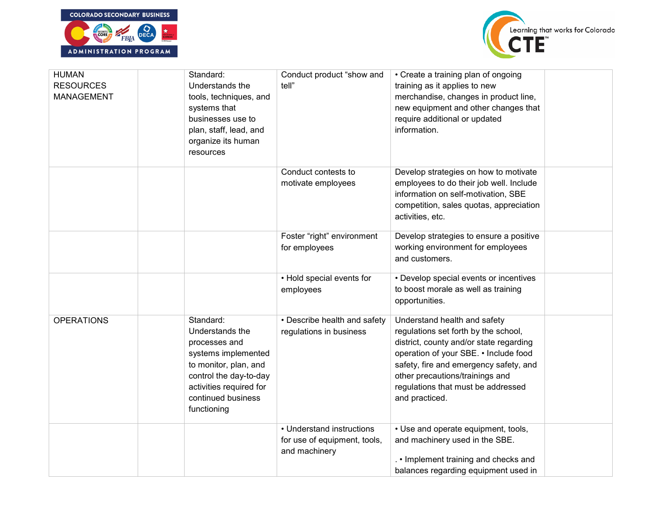



| <b>HUMAN</b><br><b>RESOURCES</b><br>MANAGEMENT | Standard:<br>Understands the<br>tools, techniques, and<br>systems that<br>businesses use to<br>plan, staff, lead, and<br>organize its human<br>resources                                | Conduct product "show and<br>tell"                                         | • Create a training plan of ongoing<br>training as it applies to new<br>merchandise, changes in product line,<br>new equipment and other changes that<br>require additional or updated<br>information.                                                                                        |  |
|------------------------------------------------|-----------------------------------------------------------------------------------------------------------------------------------------------------------------------------------------|----------------------------------------------------------------------------|-----------------------------------------------------------------------------------------------------------------------------------------------------------------------------------------------------------------------------------------------------------------------------------------------|--|
|                                                |                                                                                                                                                                                         | Conduct contests to<br>motivate employees                                  | Develop strategies on how to motivate<br>employees to do their job well. Include<br>information on self-motivation, SBE<br>competition, sales quotas, appreciation<br>activities, etc.                                                                                                        |  |
|                                                |                                                                                                                                                                                         | Foster "right" environment<br>for employees                                | Develop strategies to ensure a positive<br>working environment for employees<br>and customers.                                                                                                                                                                                                |  |
|                                                |                                                                                                                                                                                         | • Hold special events for<br>employees                                     | • Develop special events or incentives<br>to boost morale as well as training<br>opportunities.                                                                                                                                                                                               |  |
| <b>OPERATIONS</b>                              | Standard:<br>Understands the<br>processes and<br>systems implemented<br>to monitor, plan, and<br>control the day-to-day<br>activities required for<br>continued business<br>functioning | • Describe health and safety<br>regulations in business                    | Understand health and safety<br>regulations set forth by the school,<br>district, county and/or state regarding<br>operation of your SBE. • Include food<br>safety, fire and emergency safety, and<br>other precautions/trainings and<br>regulations that must be addressed<br>and practiced. |  |
|                                                |                                                                                                                                                                                         | • Understand instructions<br>for use of equipment, tools,<br>and machinery | • Use and operate equipment, tools,<br>and machinery used in the SBE.<br>. • Implement training and checks and<br>balances regarding equipment used in                                                                                                                                        |  |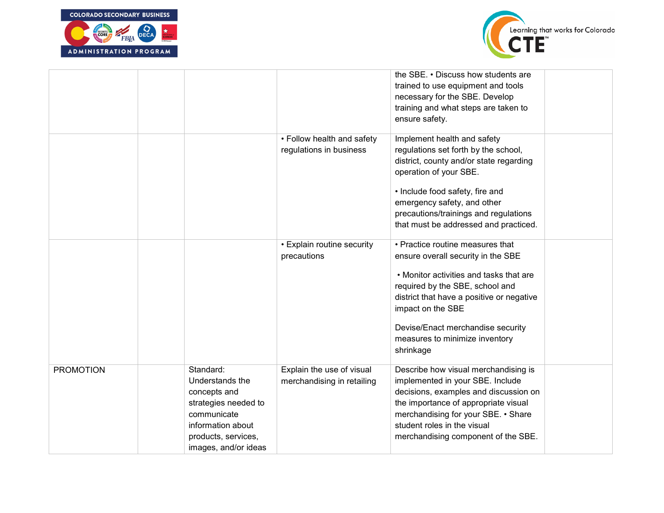



|                  |                                                                                                                                                         |                                                         | the SBE. • Discuss how students are<br>trained to use equipment and tools<br>necessary for the SBE. Develop<br>training and what steps are taken to<br>ensure safety.                                                                                                                                      |  |
|------------------|---------------------------------------------------------------------------------------------------------------------------------------------------------|---------------------------------------------------------|------------------------------------------------------------------------------------------------------------------------------------------------------------------------------------------------------------------------------------------------------------------------------------------------------------|--|
|                  |                                                                                                                                                         | • Follow health and safety<br>regulations in business   | Implement health and safety<br>regulations set forth by the school,<br>district, county and/or state regarding<br>operation of your SBE.<br>• Include food safety, fire and<br>emergency safety, and other<br>precautions/trainings and regulations<br>that must be addressed and practiced.               |  |
|                  |                                                                                                                                                         | • Explain routine security<br>precautions               | • Practice routine measures that<br>ensure overall security in the SBE<br>. Monitor activities and tasks that are<br>required by the SBE, school and<br>district that have a positive or negative<br>impact on the SBE<br>Devise/Enact merchandise security<br>measures to minimize inventory<br>shrinkage |  |
| <b>PROMOTION</b> | Standard:<br>Understands the<br>concepts and<br>strategies needed to<br>communicate<br>information about<br>products, services,<br>images, and/or ideas | Explain the use of visual<br>merchandising in retailing | Describe how visual merchandising is<br>implemented in your SBE. Include<br>decisions, examples and discussion on<br>the importance of appropriate visual<br>merchandising for your SBE. • Share<br>student roles in the visual<br>merchandising component of the SBE.                                     |  |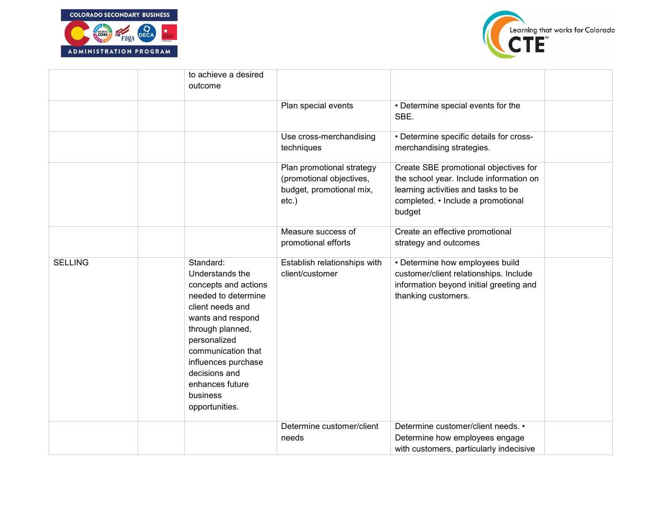



|                | to achieve a desired<br>outcome                                                                                                                                                                                                                                         |                                                                                               |                                                                                                                                                                         |  |
|----------------|-------------------------------------------------------------------------------------------------------------------------------------------------------------------------------------------------------------------------------------------------------------------------|-----------------------------------------------------------------------------------------------|-------------------------------------------------------------------------------------------------------------------------------------------------------------------------|--|
|                |                                                                                                                                                                                                                                                                         | Plan special events                                                                           | • Determine special events for the<br>SBE.                                                                                                                              |  |
|                |                                                                                                                                                                                                                                                                         | Use cross-merchandising<br>techniques                                                         | • Determine specific details for cross-<br>merchandising strategies.                                                                                                    |  |
|                |                                                                                                                                                                                                                                                                         | Plan promotional strategy<br>(promotional objectives,<br>budget, promotional mix,<br>$etc.$ ) | Create SBE promotional objectives for<br>the school year. Include information on<br>learning activities and tasks to be<br>completed. • Include a promotional<br>budget |  |
|                |                                                                                                                                                                                                                                                                         | Measure success of<br>promotional efforts                                                     | Create an effective promotional<br>strategy and outcomes                                                                                                                |  |
| <b>SELLING</b> | Standard:<br>Understands the<br>concepts and actions<br>needed to determine<br>client needs and<br>wants and respond<br>through planned,<br>personalized<br>communication that<br>influences purchase<br>decisions and<br>enhances future<br>business<br>opportunities. | Establish relationships with<br>client/customer                                               | • Determine how employees build<br>customer/client relationships. Include<br>information beyond initial greeting and<br>thanking customers.                             |  |
|                |                                                                                                                                                                                                                                                                         | Determine customer/client<br>needs                                                            | Determine customer/client needs. •<br>Determine how employees engage<br>with customers, particularly indecisive                                                         |  |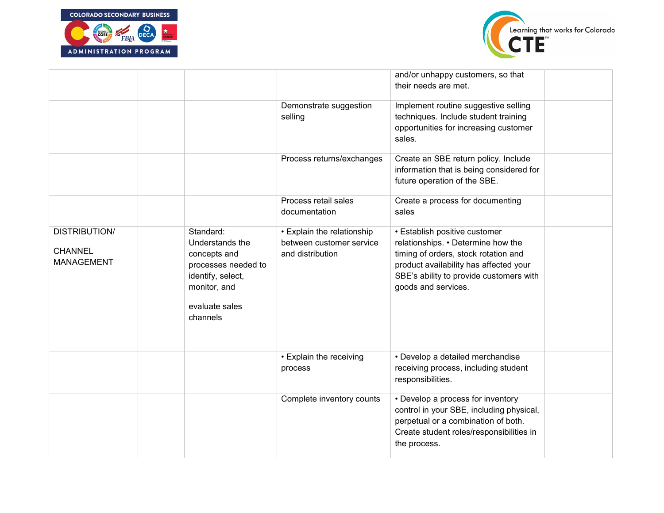



|                                                             |                                                                                                                                        |                                                                            | and/or unhappy customers, so that<br>their needs are met.                                                                                                                                                               |  |
|-------------------------------------------------------------|----------------------------------------------------------------------------------------------------------------------------------------|----------------------------------------------------------------------------|-------------------------------------------------------------------------------------------------------------------------------------------------------------------------------------------------------------------------|--|
|                                                             |                                                                                                                                        | Demonstrate suggestion<br>selling                                          | Implement routine suggestive selling<br>techniques. Include student training<br>opportunities for increasing customer<br>sales.                                                                                         |  |
|                                                             |                                                                                                                                        | Process returns/exchanges                                                  | Create an SBE return policy. Include<br>information that is being considered for<br>future operation of the SBE.                                                                                                        |  |
|                                                             |                                                                                                                                        | Process retail sales<br>documentation                                      | Create a process for documenting<br>sales                                                                                                                                                                               |  |
| <b>DISTRIBUTION/</b><br><b>CHANNEL</b><br><b>MANAGEMENT</b> | Standard:<br>Understands the<br>concepts and<br>processes needed to<br>identify, select,<br>monitor, and<br>evaluate sales<br>channels | • Explain the relationship<br>between customer service<br>and distribution | • Establish positive customer<br>relationships. • Determine how the<br>timing of orders, stock rotation and<br>product availability has affected your<br>SBE's ability to provide customers with<br>goods and services. |  |
|                                                             |                                                                                                                                        | • Explain the receiving<br>process                                         | • Develop a detailed merchandise<br>receiving process, including student<br>responsibilities.                                                                                                                           |  |
|                                                             |                                                                                                                                        | Complete inventory counts                                                  | • Develop a process for inventory<br>control in your SBE, including physical,<br>perpetual or a combination of both.<br>Create student roles/responsibilities in<br>the process.                                        |  |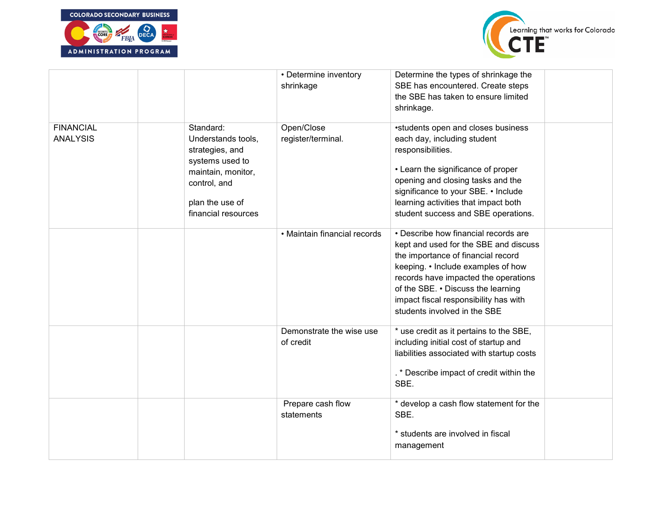



|                                     |                                                                                                                                                       | • Determine inventory<br>shrinkage    | Determine the types of shrinkage the<br>SBE has encountered. Create steps<br>the SBE has taken to ensure limited<br>shrinkage.                                                                                                                                                                                   |
|-------------------------------------|-------------------------------------------------------------------------------------------------------------------------------------------------------|---------------------------------------|------------------------------------------------------------------------------------------------------------------------------------------------------------------------------------------------------------------------------------------------------------------------------------------------------------------|
| <b>FINANCIAL</b><br><b>ANALYSIS</b> | Standard:<br>Understands tools,<br>strategies, and<br>systems used to<br>maintain, monitor,<br>control, and<br>plan the use of<br>financial resources | Open/Close<br>register/terminal.      | •students open and closes business<br>each day, including student<br>responsibilities.<br>• Learn the significance of proper<br>opening and closing tasks and the<br>significance to your SBE. • Include<br>learning activities that impact both<br>student success and SBE operations.                          |
|                                     |                                                                                                                                                       | • Maintain financial records          | • Describe how financial records are<br>kept and used for the SBE and discuss<br>the importance of financial record<br>keeping. • Include examples of how<br>records have impacted the operations<br>of the SBE. . Discuss the learning<br>impact fiscal responsibility has with<br>students involved in the SBE |
|                                     |                                                                                                                                                       | Demonstrate the wise use<br>of credit | * use credit as it pertains to the SBE,<br>including initial cost of startup and<br>liabilities associated with startup costs<br>. * Describe impact of credit within the<br>SBE.                                                                                                                                |
|                                     |                                                                                                                                                       | Prepare cash flow<br>statements       | * develop a cash flow statement for the<br>SBE.<br>* students are involved in fiscal<br>management                                                                                                                                                                                                               |